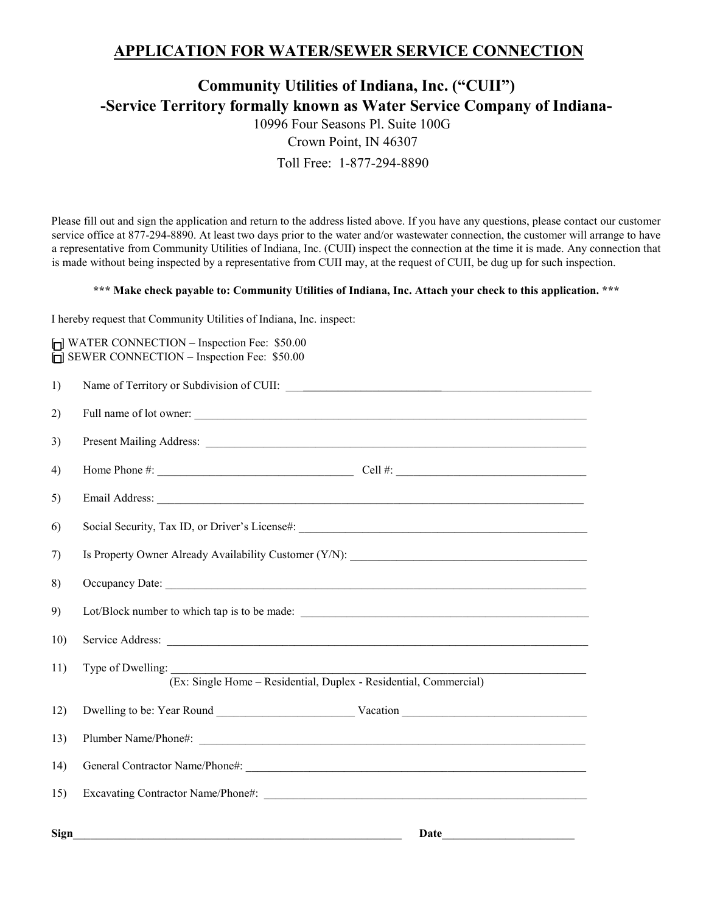## **APPLICATION FOR WATER/SEWER SERVICE CONNECTION**

## **Community Utilities of Indiana, Inc. ("CUII") -Service Territory formally known as Water Service Company of Indiana-**

10996 Four Seasons Pl. Suite 100G Crown Point, IN 46307 Toll Free: 1-877-294-8890

Please fill out and sign the application and return to the address listed above. If you have any questions, please contact our customer service office at 877-294-8890. At least two days prior to the water and/or wastewater connection, the customer will arrange to have a representative from Community Utilities of Indiana, Inc. (CUII) inspect the connection at the time it is made. Any connection that is made without being inspected by a representative from CUII may, at the request of CUII, be dug up for such inspection.

## **\*\*\* Make check payable to: Community Utilities of Indiana, Inc. Attach your check to this application. \*\*\***

I hereby request that Community Utilities of Indiana, Inc. inspect:

[ ] WATER CONNECTION - Inspection Fee: \$50.00  $\overline{[}$  SEWER CONNECTION – Inspection Fee: \$50.00

| 1)   |                                                                                        |
|------|----------------------------------------------------------------------------------------|
| 2)   | Full name of lot owner:                                                                |
| 3)   |                                                                                        |
| 4)   |                                                                                        |
| 5)   |                                                                                        |
| 6)   | Social Security, Tax ID, or Driver's License#: __________________________________      |
| 7)   | Is Property Owner Already Availability Customer (Y/N): __________________________      |
| 8)   |                                                                                        |
| 9)   | Lot/Block number to which tap is to be made:                                           |
| 10)  |                                                                                        |
| 11)  | Type of Dwelling:<br>(Ex: Single Home – Residential, Duplex - Residential, Commercial) |
| 12)  |                                                                                        |
| 13)  |                                                                                        |
| 14)  |                                                                                        |
| 15)  |                                                                                        |
| Sign | Date                                                                                   |